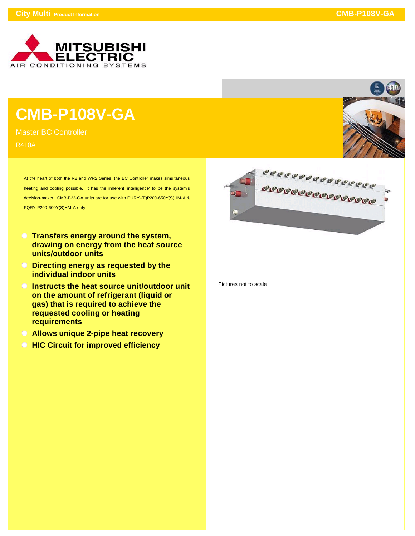

## **CMB-P108V-GA**

Master BC Controller R410A

> At the heart of both the R2 and WR2 Series, the BC Controller makes simultaneous heating and cooling possible. It has the inherent 'intelligence' to be the system's decision-maker. CMB-P-V-GA units are for use with PURY-(E)P200-650Y(S)HM-A & PQRY-P200-600Y(S)HM-A only.

- **Transfers energy around the system, drawing on energy from the heat source units/outdoor units**
- **Directing energy as requested by the individual indoor units**
- **Instructs the heat source unit/outdoor unit on the amount of refrigerant (liquid or gas) that is required to achieve the requested cooling or heating requirements**
- **Allows unique 2-pipe heat recovery**
- **HIC Circuit for improved efficiency**



Pictures not to scale